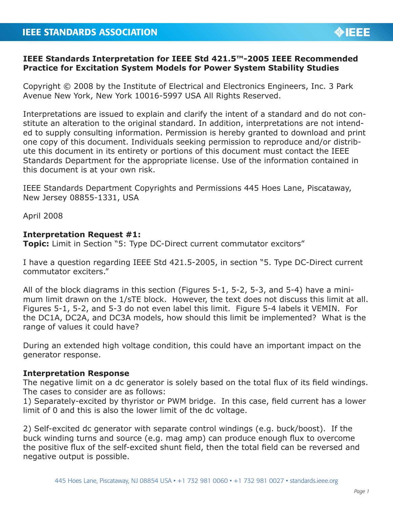## **IEEE Standards Interpretation for IEEE Std 421.5™-2005 IEEE Recommended Practice for Excitation System Models for Power System Stability Studies**

Copyright © 2008 by the Institute of Electrical and Electronics Engineers, Inc. 3 Park Avenue New York, New York 10016-5997 USA All Rights Reserved.

Interpretations are issued to explain and clarify the intent of a standard and do not constitute an alteration to the original standard. In addition, interpretations are not intended to supply consulting information. Permission is hereby granted to download and print one copy of this document. Individuals seeking permission to reproduce and/or distribute this document in its entirety or portions of this document must contact the IEEE Standards Department for the appropriate license. Use of the information contained in this document is at your own risk.

IEEE Standards Department Copyrights and Permissions 445 Hoes Lane, Piscataway, New Jersey 08855-1331, USA

April 2008

## **Interpretation Request #1:**

**Topic:** Limit in Section "5: Type DC-Direct current commutator excitors"

I have a question regarding IEEE Std 421.5-2005, in section "5. Type DC-Direct current commutator exciters."

All of the block diagrams in this section (Figures 5-1, 5-2, 5-3, and 5-4) have a minimum limit drawn on the 1/sTE block. However, the text does not discuss this limit at all. Figures 5-1, 5-2, and 5-3 do not even label this limit. Figure 5-4 labels it VEMIN. For the DC1A, DC2A, and DC3A models, how should this limit be implemented? What is the range of values it could have?

During an extended high voltage condition, this could have an important impact on the generator response.

## **Interpretation Response**

The negative limit on a dc generator is solely based on the total flux of its field windings. The cases to consider are as follows:

1) Separately-excited by thyristor or PWM bridge. In this case, field current has a lower limit of 0 and this is also the lower limit of the dc voltage.

2) Self-excited dc generator with separate control windings (e.g. buck/boost). If the buck winding turns and source (e.g. mag amp) can produce enough flux to overcome the positive flux of the self-excited shunt field, then the total field can be reversed and negative output is possible.